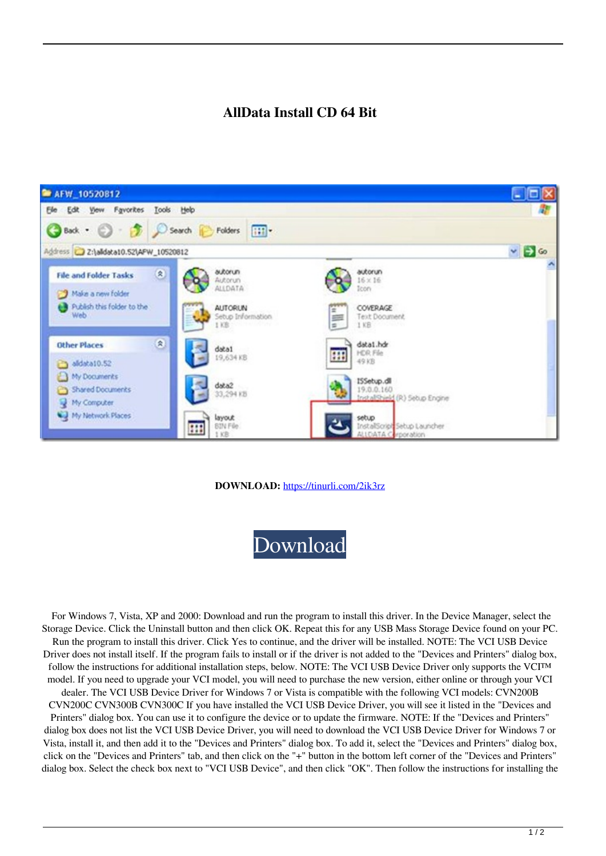## **AllData Install CD 64 Bit**



## **DOWNLOAD:** <https://tinurli.com/2ik3rz>



 For Windows 7, Vista, XP and 2000: Download and run the program to install this driver. In the Device Manager, select the Storage Device. Click the Uninstall button and then click OK. Repeat this for any USB Mass Storage Device found on your PC. Run the program to install this driver. Click Yes to continue, and the driver will be installed. NOTE: The VCI USB Device Driver does not install itself. If the program fails to install or if the driver is not added to the "Devices and Printers" dialog box, follow the instructions for additional installation steps, below. NOTE: The VCI USB Device Driver only supports the VCI™ model. If you need to upgrade your VCI model, you will need to purchase the new version, either online or through your VCI dealer. The VCI USB Device Driver for Windows 7 or Vista is compatible with the following VCI models: CVN200B CVN200C CVN300B CVN300C If you have installed the VCI USB Device Driver, you will see it listed in the "Devices and Printers" dialog box. You can use it to configure the device or to update the firmware. NOTE: If the "Devices and Printers" dialog box does not list the VCI USB Device Driver, you will need to download the VCI USB Device Driver for Windows 7 or Vista, install it, and then add it to the "Devices and Printers" dialog box. To add it, select the "Devices and Printers" dialog box, click on the "Devices and Printers" tab, and then click on the "+" button in the bottom left corner of the "Devices and Printers"

dialog box. Select the check box next to "VCI USB Device", and then click "OK". Then follow the instructions for installing the